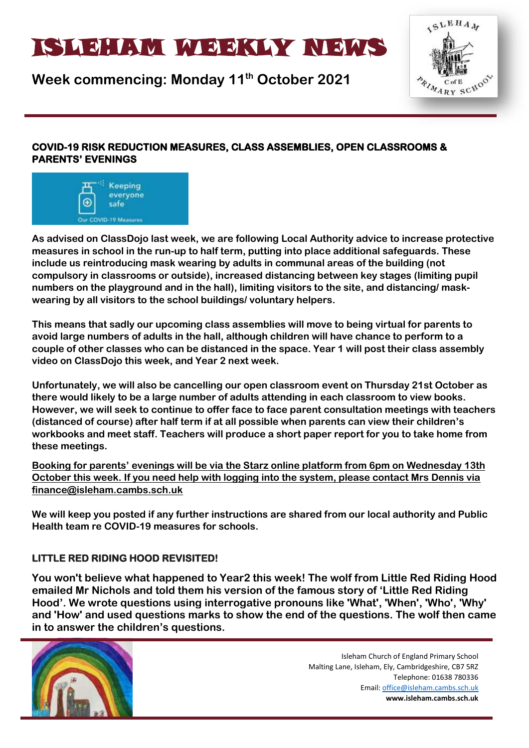# ISLAM WEEKLYNEIN WAT

**Week commencing: Monday 11th October 2021**



# **COVID-19 RISK REDUCTION MEASURES, CLASS ASSEMBLIES, OPEN CLASSROOMS & PARENTS' EVENINGS**



**As advised on ClassDojo last week, we are following Local Authority advice to increase protective measures in school in the run-up to half term, putting into place additional safeguards. These include us reintroducing mask wearing by adults in communal areas of the building (not compulsory in classrooms or outside), increased distancing between key stages (limiting pupil numbers on the playground and in the hall), limiting visitors to the site, and distancing/ maskwearing by all visitors to the school buildings/ voluntary helpers.**

**This means that sadly our upcoming class assemblies will move to being virtual for parents to avoid large numbers of adults in the hall, although children will have chance to perform to a couple of other classes who can be distanced in the space. Year 1 will post their class assembly video on ClassDojo this week, and Year 2 next week.**

**Unfortunately, we will also be cancelling our open classroom event on Thursday 21st October as there would likely to be a large number of adults attending in each classroom to view books. However, we will seek to continue to offer face to face parent consultation meetings with teachers (distanced of course) after half term if at all possible when parents can view their children's workbooks and meet staff. Teachers will produce a short paper report for you to take home from these meetings.** 

**Booking for parents' evenings will be via the Starz online platform from 6pm on Wednesday 13th October this week. If you need help with logging into the system, please contact Mrs Dennis via finance@isleham.cambs.sch.uk**

**We will keep you posted if any further instructions are shared from our local authority and Public Health team re COVID-19 measures for schools.**

# **LITTLE RED RIDING HOOD REVISITED!**

**You won't believe what happened to Year2 this week! The wolf from Little Red Riding Hood emailed Mr Nichols and told them his version of the famous story of 'Little Red Riding Hood'. We wrote questions using interrogative pronouns like 'What', 'When', 'Who', 'Why' and 'How' and used questions marks to show the end of the questions. The wolf then came in to answer the children's questions.**

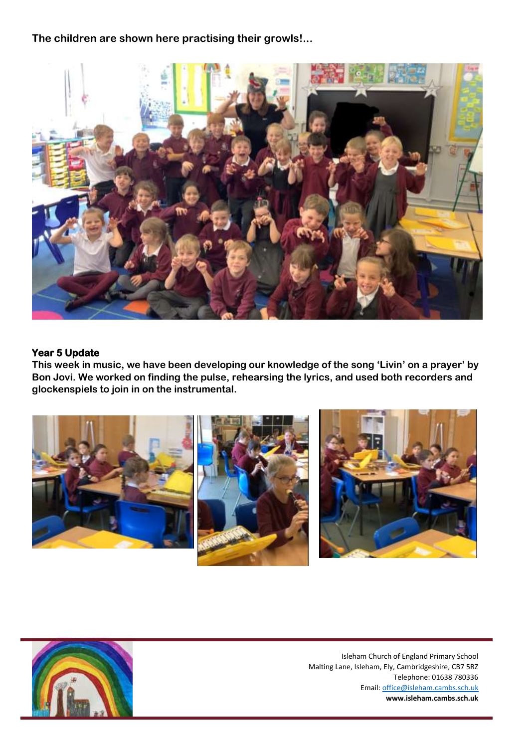**The children are shown here practising their growls!...**



#### **Year 5 Update**

**This week in music, we have been developing our knowledge of the song 'Livin' on a prayer' by Bon Jovi. We worked on finding the pulse, rehearsing the lyrics, and used both recorders and glockenspiels to join in on the instrumental.** 



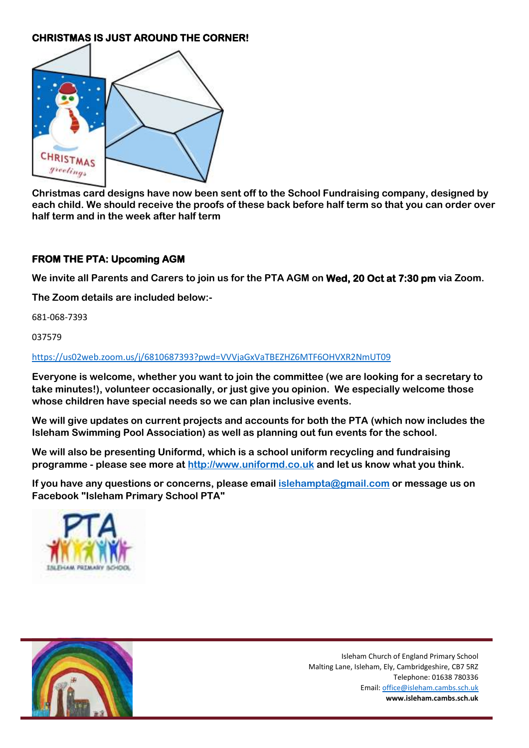# **CHRISTMAS IS JUST AROUND THE CORNER!**



**Christmas card designs have now been sent off to the School Fundraising company, designed by** each child. We should receive the proofs of these back before half term so that you can order over **half term and in the week after half term**

#### **FROM THE PTA: Upcoming AGM**

**We invite all Parents and Carers to join us for the PTA AGM on Wed, 20 Oct at 7:30 pm via Zoom.**

**The Zoom details are included below:-**

681-068-7393

037579

#### <https://us02web.zoom.us/j/6810687393?pwd=VVVjaGxVaTBEZHZ6MTF6OHVXR2NmUT09>

**Everyone is welcome, whether you want to join the committee (we are looking for a secretary to take minutes!), volunteer occasionally, or just give you opinion. We especially welcome those whose children have special needs so we can plan inclusive events.**

**We will give updates on current projects and accounts for both the PTA (which now includes the Isleham Swimming Pool Association) as well as planning out fun events for the school.** 

**We will also be presenting Uniformd, which is a school uniform recycling and fundraising programme - please see more at [http://www.uniformd.co.uk](http://www.uniformd.co.uk/) and let us know what you think.** 

**If you have any questions or concerns, please email [islehampta@gmail.com](mailto:islehampta@gmail.com) or message us on Facebook "Isleham Primary School PTA"**



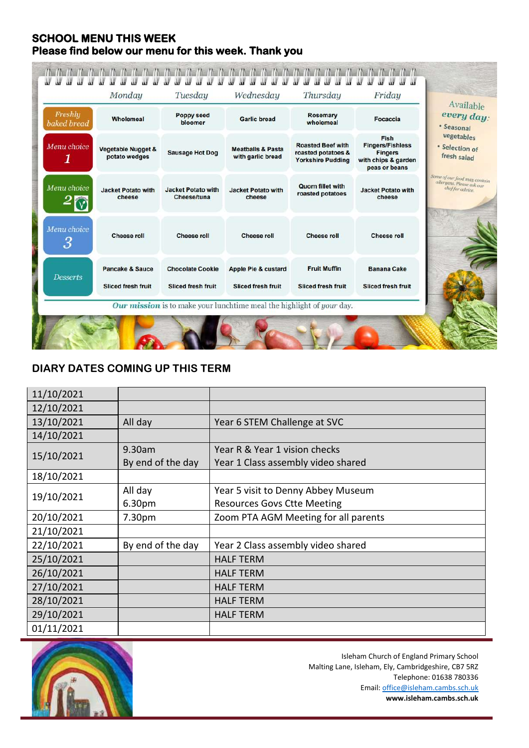# **SCHOOL MENU THIS WEEK Please find below our menu for this week. Thank you**

| Freshly<br>baked bread | Wholemeal                                      | <b>Poppy seed</b><br>bloomer                    | <b>Garlic bread</b>                               | Rosemary<br>wholemeal                                                      | Focaccia                                                                                  | Available<br>every day:<br>· Seasonal                                         |
|------------------------|------------------------------------------------|-------------------------------------------------|---------------------------------------------------|----------------------------------------------------------------------------|-------------------------------------------------------------------------------------------|-------------------------------------------------------------------------------|
| Menu choice            | <b>Vegetable Nugget &amp;</b><br>potato wedges | <b>Sausage Hot Dog</b>                          | <b>Meatballs &amp; Pasta</b><br>with garlic bread | <b>Roasted Beef with</b><br>roasted potatoes &<br><b>Yorkshire Pudding</b> | Fish<br><b>Fingers/Fishless</b><br><b>Fingers</b><br>with chips & garden<br>peas or beans | vegetables<br>· Selection of<br>fresh salad                                   |
| Menu choice            | <b>Jacket Potato with</b><br>cheese            | <b>Jacket Potato with</b><br><b>Cheese/tuna</b> | <b>Jacket Potato with</b><br>cheese               | <b>Quorn fillet with</b><br>roasted potatoes                               | <b>Jacket Potato with</b><br>cheese                                                       | Some of our food may contain<br>allergens, Please ask our<br>chef for advice. |
| Menu choice<br>3       | <b>Cheese roll</b>                             | <b>Cheese roll</b>                              | <b>Cheese roll</b>                                | <b>Cheese roll</b>                                                         | <b>Cheese roll</b>                                                                        |                                                                               |
| <b>Desserts</b>        | <b>Pancake &amp; Sauce</b>                     | <b>Chocolate Cookie</b>                         | Apple Pie & custard                               | <b>Fruit Muffin</b>                                                        | <b>Banana Cake</b>                                                                        |                                                                               |
|                        | <b>Sliced fresh fruit</b>                      | <b>Sliced fresh fruit</b>                       | <b>Sliced fresh fruit</b>                         | <b>Sliced fresh fruit</b>                                                  | <b>Sliced fresh fruit</b>                                                                 |                                                                               |

# **DIARY DATES COMING UP THIS TERM**

| 11/10/2021 |                    |                                      |
|------------|--------------------|--------------------------------------|
| 12/10/2021 |                    |                                      |
| 13/10/2021 | All day            | Year 6 STEM Challenge at SVC         |
| 14/10/2021 |                    |                                      |
| 15/10/2021 | 9.30am             | Year R & Year 1 vision checks        |
|            | By end of the day  | Year 1 Class assembly video shared   |
| 18/10/2021 |                    |                                      |
| 19/10/2021 | All day            | Year 5 visit to Denny Abbey Museum   |
|            | 6.30pm             | <b>Resources Govs Ctte Meeting</b>   |
| 20/10/2021 | 7.30 <sub>pm</sub> | Zoom PTA AGM Meeting for all parents |
| 21/10/2021 |                    |                                      |
| 22/10/2021 | By end of the day  | Year 2 Class assembly video shared   |
| 25/10/2021 |                    | <b>HALF TERM</b>                     |
| 26/10/2021 |                    | <b>HALF TERM</b>                     |
| 27/10/2021 |                    | <b>HALF TERM</b>                     |
| 28/10/2021 |                    | <b>HALF TERM</b>                     |
| 29/10/2021 |                    | <b>HALF TERM</b>                     |
| 01/11/2021 |                    |                                      |